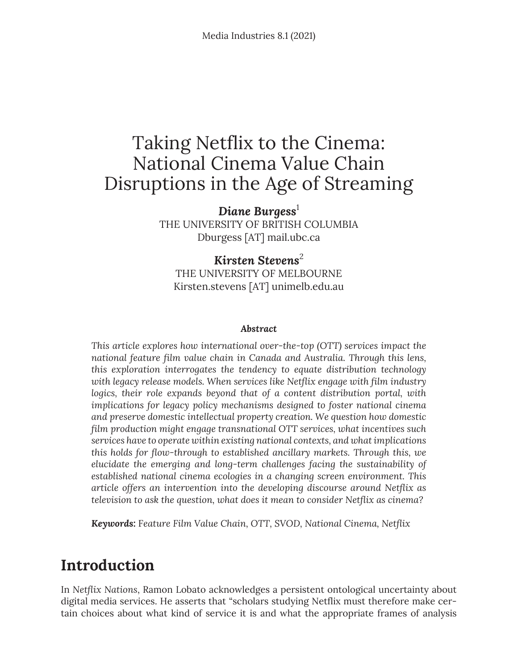# Taking Netflix to the Cinema: National Cinema Value Chain Disruptions in the Age of Streaming

*Diane Burgess*<sup>1</sup> THE UNIVERSITY OF BRITISH COLUMBIA Dburgess [AT] mail.ubc.ca

*Kirsten Stevens*<sup>2</sup> THE UNIVERSITY OF MELBOURNE Kirsten.stevens [AT] unimelb.edu.au

#### *Abstract*

*This article explores how international over-the-top (OTT) services impact the national feature film value chain in Canada and Australia. Through this lens, this exploration interrogates the tendency to equate distribution technology with legacy release models. When services like Netflix engage with film industry*  logics, their role expands beyond that of a content distribution portal, with *implications for legacy policy mechanisms designed to foster national cinema and preserve domestic intellectual property creation. We question how domestic film production might engage transnational OTT services, what incentives such services have to operate within existing national contexts, and what implications this holds for flow-through to established ancillary markets. Through this, we elucidate the emerging and long-term challenges facing the sustainability of established national cinema ecologies in a changing screen environment. This article offers an intervention into the developing discourse around Netflix as television to ask the question, what does it mean to consider Netflix as cinema?*

*Keywords:* F*eature Film Value Chain, OTT, SVOD, National Cinema, Netflix*

#### **Introduction**

In *Netflix Nations*, Ramon Lobato acknowledges a persistent ontological uncertainty about digital media services. He asserts that "scholars studying Netflix must therefore make certain choices about what kind of service it is and what the appropriate frames of analysis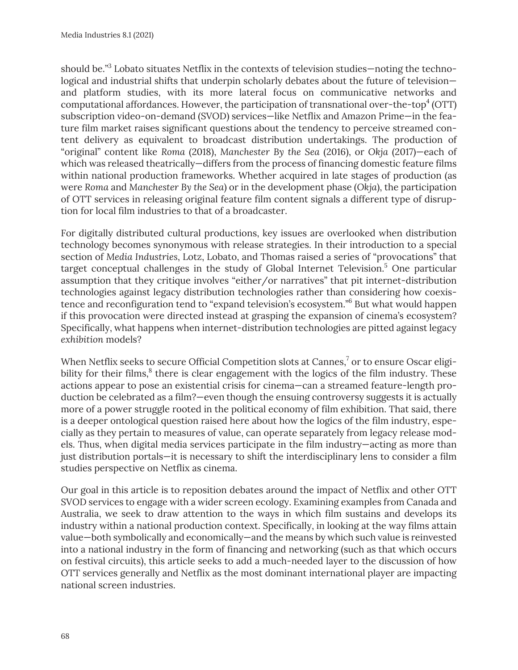should be." $3$  Lobato situates Netflix in the contexts of television studies—noting the technological and industrial shifts that underpin scholarly debates about the future of television and platform studies, with its more lateral focus on communicative networks and computational affordances. However, the participation of transnational over-the-top $^4$  (OTT) subscription video-on-demand (SVOD) services—like Netflix and Amazon Prime—in the feature film market raises significant questions about the tendency to perceive streamed content delivery as equivalent to broadcast distribution undertakings. The production of "original" content like *Roma* (2018), *Manchester By the Sea* (2016), or *Okja* (2017)—each of which was released theatrically—differs from the process of financing domestic feature films within national production frameworks. Whether acquired in late stages of production (as were *Roma* and *Manchester By the Sea*) or in the development phase (*Okja*), the participation of OTT services in releasing original feature film content signals a different type of disruption for local film industries to that of a broadcaster.

For digitally distributed cultural productions, key issues are overlooked when distribution technology becomes synonymous with release strategies. In their introduction to a special section of *Media Industries*, Lotz, Lobato, and Thomas raised a series of "provocations" that target conceptual challenges in the study of Global Internet Television.<sup>5</sup> One particular assumption that they critique involves "either/or narratives" that pit internet-distribution technologies against legacy distribution technologies rather than considering how coexistence and reconfiguration tend to "expand television's ecosystem."6 But what would happen if this provocation were directed instead at grasping the expansion of cinema's ecosystem? Specifically, what happens when internet-distribution technologies are pitted against legacy *exhibition* models?

When Netflix seeks to secure Official Competition slots at Cannes,<sup>7</sup> or to ensure Oscar eligibility for their films, $\delta$  there is clear engagement with the logics of the film industry. These actions appear to pose an existential crisis for cinema—can a streamed feature-length production be celebrated as a film?—even though the ensuing controversy suggests it is actually more of a power struggle rooted in the political economy of film exhibition. That said, there is a deeper ontological question raised here about how the logics of the film industry, especially as they pertain to measures of value, can operate separately from legacy release models. Thus, when digital media services participate in the film industry—acting as more than just distribution portals—it is necessary to shift the interdisciplinary lens to consider a film studies perspective on Netflix as cinema.

Our goal in this article is to reposition debates around the impact of Netflix and other OTT SVOD services to engage with a wider screen ecology. Examining examples from Canada and Australia, we seek to draw attention to the ways in which film sustains and develops its industry within a national production context. Specifically, in looking at the way films attain value—both symbolically and economically—and the means by which such value is reinvested into a national industry in the form of financing and networking (such as that which occurs on festival circuits), this article seeks to add a much-needed layer to the discussion of how OTT services generally and Netflix as the most dominant international player are impacting national screen industries.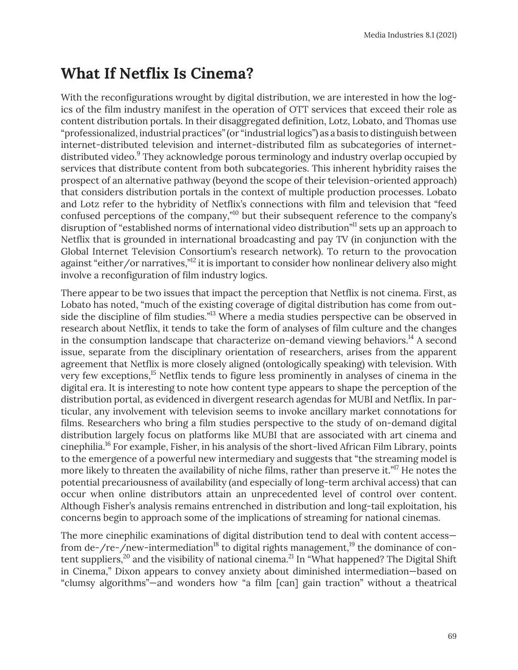## **What If Netflix Is Cinema?**

With the reconfigurations wrought by digital distribution, we are interested in how the logics of the film industry manifest in the operation of OTT services that exceed their role as content distribution portals. In their disaggregated definition, Lotz, Lobato, and Thomas use "professionalized, industrial practices" (or "industrial logics") as a basis to distinguish between internet-distributed television and internet-distributed film as subcategories of internetdistributed video.<sup>9</sup> They acknowledge porous terminology and industry overlap occupied by services that distribute content from both subcategories. This inherent hybridity raises the prospect of an alternative pathway (beyond the scope of their television-oriented approach) that considers distribution portals in the context of multiple production processes. Lobato and Lotz refer to the hybridity of Netflix's connections with film and television that "feed confused perceptions of the company,"10 but their subsequent reference to the company's disruption of "established norms of international video distribution"<sup>11</sup> sets up an approach to Netflix that is grounded in international broadcasting and pay TV (in conjunction with the Global Internet Television Consortium's research network). To return to the provocation against "either/or narratives,"<sup>12</sup> it is important to consider how nonlinear delivery also might involve a reconfiguration of film industry logics.

There appear to be two issues that impact the perception that Netflix is not cinema. First, as Lobato has noted, "much of the existing coverage of digital distribution has come from outside the discipline of film studies."<sup>13</sup> Where a media studies perspective can be observed in research about Netflix, it tends to take the form of analyses of film culture and the changes in the consumption landscape that characterize on-demand viewing behaviors.<sup>14</sup> A second issue, separate from the disciplinary orientation of researchers, arises from the apparent agreement that Netflix is more closely aligned (ontologically speaking) with television. With very few exceptions,<sup>15</sup> Netflix tends to figure less prominently in analyses of cinema in the digital era. It is interesting to note how content type appears to shape the perception of the distribution portal, as evidenced in divergent research agendas for MUBI and Netflix. In particular, any involvement with television seems to invoke ancillary market connotations for films. Researchers who bring a film studies perspective to the study of on-demand digital distribution largely focus on platforms like MUBI that are associated with art cinema and cinephilia.16 For example, Fisher, in his analysis of the short-lived African Film Library, points to the emergence of a powerful new intermediary and suggests that "the streaming model is more likely to threaten the availability of niche films, rather than preserve it."<sup>17</sup> He notes the potential precariousness of availability (and especially of long-term archival access) that can occur when online distributors attain an unprecedented level of control over content. Although Fisher's analysis remains entrenched in distribution and long-tail exploitation, his concerns begin to approach some of the implications of streaming for national cinemas.

The more cinephilic examinations of digital distribution tend to deal with content access from de-/re-/new-intermediation<sup>18</sup> to digital rights management,<sup>19</sup> the dominance of content suppliers,<sup>20</sup> and the visibility of national cinema.<sup>21</sup> In "What happened? The Digital Shift in Cinema," Dixon appears to convey anxiety about diminished intermediation—based on "clumsy algorithms"—and wonders how "a film [can] gain traction" without a theatrical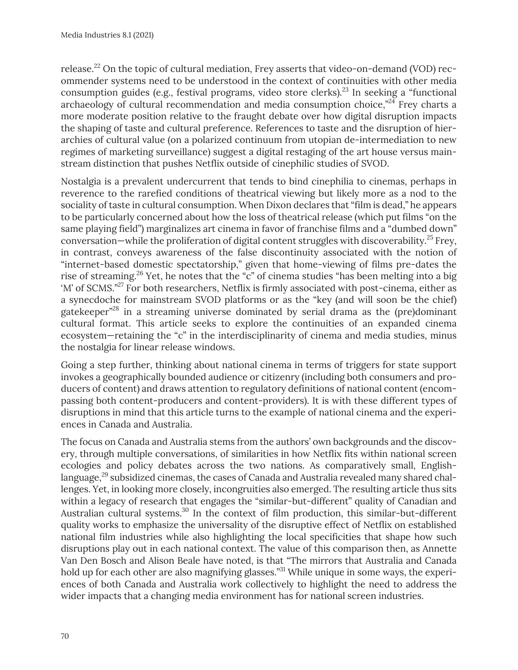release.<sup>22</sup> On the topic of cultural mediation, Frey asserts that video-on-demand (VOD) recommender systems need to be understood in the context of continuities with other media consumption guides (e.g., festival programs, video store clerks).<sup>23</sup> In seeking a "functional archaeology of cultural recommendation and media consumption choice, $"^{24}$  Frey charts a more moderate position relative to the fraught debate over how digital disruption impacts the shaping of taste and cultural preference. References to taste and the disruption of hierarchies of cultural value (on a polarized continuum from utopian de-intermediation to new regimes of marketing surveillance) suggest a digital restaging of the art house versus mainstream distinction that pushes Netflix outside of cinephilic studies of SVOD.

Nostalgia is a prevalent undercurrent that tends to bind cinephilia to cinemas, perhaps in reverence to the rarefied conditions of theatrical viewing but likely more as a nod to the sociality of taste in cultural consumption. When Dixon declares that "film is dead," he appears to be particularly concerned about how the loss of theatrical release (which put films "on the same playing field") marginalizes art cinema in favor of franchise films and a "dumbed down" conversation—while the proliferation of digital content struggles with discoverability.<sup>25</sup> Frey, in contrast, conveys awareness of the false discontinuity associated with the notion of "internet-based domestic spectatorship," given that home-viewing of films pre-dates the rise of streaming.26 Yet, he notes that the "c" of cinema studies "has been melting into a big 'M' of SCMS."<sup>27</sup> For both researchers, Netflix is firmly associated with post-cinema, either as a synecdoche for mainstream SVOD platforms or as the "key (and will soon be the chief) gatekeeper"28 in a streaming universe dominated by serial drama as the (pre)dominant cultural format. This article seeks to explore the continuities of an expanded cinema ecosystem—retaining the "c" in the interdisciplinarity of cinema and media studies, minus the nostalgia for linear release windows.

Going a step further, thinking about national cinema in terms of triggers for state support invokes a geographically bounded audience or citizenry (including both consumers and producers of content) and draws attention to regulatory definitions of national content (encompassing both content-producers and content-providers). It is with these different types of disruptions in mind that this article turns to the example of national cinema and the experiences in Canada and Australia.

The focus on Canada and Australia stems from the authors' own backgrounds and the discovery, through multiple conversations, of similarities in how Netflix fits within national screen ecologies and policy debates across the two nations. As comparatively small, Englishlanguage, $^{29}$  subsidized cinemas, the cases of Canada and Australia revealed many shared challenges. Yet, in looking more closely, incongruities also emerged. The resulting article thus sits within a legacy of research that engages the "similar-but-different" quality of Canadian and Australian cultural systems.<sup>30</sup> In the context of film production, this similar-but-different quality works to emphasize the universality of the disruptive effect of Netflix on established national film industries while also highlighting the local specificities that shape how such disruptions play out in each national context. The value of this comparison then, as Annette Van Den Bosch and Alison Beale have noted, is that "The mirrors that Australia and Canada hold up for each other are also magnifying glasses."<sup>31</sup> While unique in some ways, the experiences of both Canada and Australia work collectively to highlight the need to address the wider impacts that a changing media environment has for national screen industries.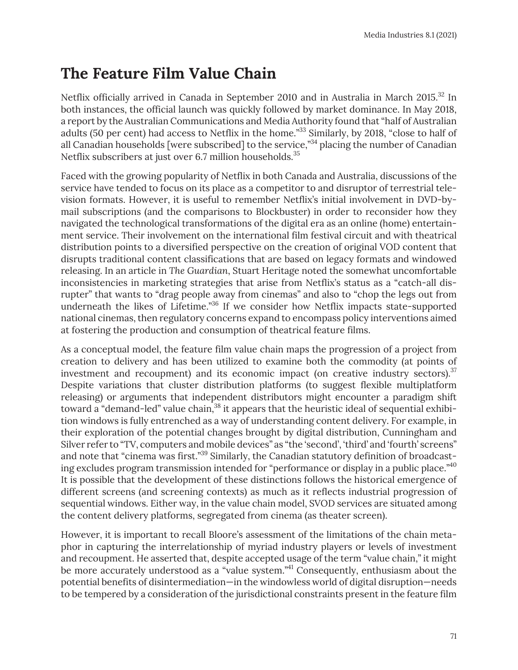## **The Feature Film Value Chain**

Netflix officially arrived in Canada in September 2010 and in Australia in March 2015.<sup>32</sup> In both instances, the official launch was quickly followed by market dominance. In May 2018, a report by the Australian Communications and Media Authority found that "half of Australian adults (50 per cent) had access to Netflix in the home."<sup>33</sup> Similarly, by 2018, "close to half of all Canadian households [were subscribed] to the service,"<sup>34</sup> placing the number of Canadian Netflix subscribers at just over 6.7 million households.<sup>35</sup>

Faced with the growing popularity of Netflix in both Canada and Australia, discussions of the service have tended to focus on its place as a competitor to and disruptor of terrestrial television formats. However, it is useful to remember Netflix's initial involvement in DVD-bymail subscriptions (and the comparisons to Blockbuster) in order to reconsider how they navigated the technological transformations of the digital era as an online (home) entertainment service. Their involvement on the international film festival circuit and with theatrical distribution points to a diversified perspective on the creation of original VOD content that disrupts traditional content classifications that are based on legacy formats and windowed releasing. In an article in *The Guardian*, Stuart Heritage noted the somewhat uncomfortable inconsistencies in marketing strategies that arise from Netflix's status as a "catch-all disrupter" that wants to "drag people away from cinemas" and also to "chop the legs out from underneath the likes of Lifetime."36 If we consider how Netflix impacts state-supported national cinemas, then regulatory concerns expand to encompass policy interventions aimed at fostering the production and consumption of theatrical feature films.

As a conceptual model, the feature film value chain maps the progression of a project from creation to delivery and has been utilized to examine both the commodity (at points of investment and recoupment) and its economic impact (on creative industry sectors). $37$ Despite variations that cluster distribution platforms (to suggest flexible multiplatform releasing) or arguments that independent distributors might encounter a paradigm shift toward a "demand-led" value chain,  $38$  it appears that the heuristic ideal of sequential exhibition windows is fully entrenched as a way of understanding content delivery. For example, in their exploration of the potential changes brought by digital distribution, Cunningham and Silver refer to "TV, computers and mobile devices" as "the 'second', 'third' and 'fourth' screens" and note that "cinema was first."<sup>39</sup> Similarly, the Canadian statutory definition of broadcasting excludes program transmission intended for "performance or display in a public place."<sup>40</sup> It is possible that the development of these distinctions follows the historical emergence of different screens (and screening contexts) as much as it reflects industrial progression of sequential windows. Either way, in the value chain model, SVOD services are situated among the content delivery platforms, segregated from cinema (as theater screen).

However, it is important to recall Bloore's assessment of the limitations of the chain metaphor in capturing the interrelationship of myriad industry players or levels of investment and recoupment. He asserted that, despite accepted usage of the term "value chain," it might be more accurately understood as a "value system."<sup>41</sup> Consequently, enthusiasm about the potential benefits of disintermediation—in the windowless world of digital disruption—needs to be tempered by a consideration of the jurisdictional constraints present in the feature film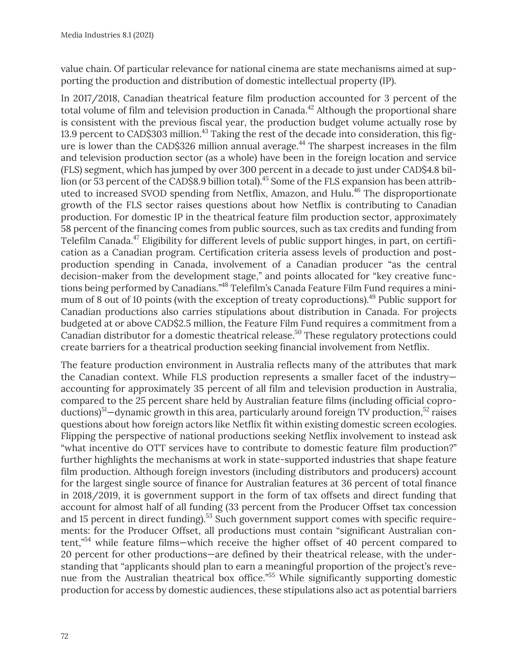value chain. Of particular relevance for national cinema are state mechanisms aimed at supporting the production and distribution of domestic intellectual property (IP).

In 2017/2018, Canadian theatrical feature film production accounted for 3 percent of the total volume of film and television production in Canada.<sup>42</sup> Although the proportional share is consistent with the previous fiscal year, the production budget volume actually rose by 13.9 percent to CAD\$303 million.<sup>43</sup> Taking the rest of the decade into consideration, this figure is lower than the CAD\$326 million annual average.<sup>44</sup> The sharpest increases in the film and television production sector (as a whole) have been in the foreign location and service (FLS) segment, which has jumped by over 300 percent in a decade to just under CAD\$4.8 billion (or 53 percent of the CAD\$8.9 billion total).<sup>45</sup> Some of the FLS expansion has been attributed to increased SVOD spending from Netflix, Amazon, and Hulu.<sup>46</sup> The disproportionate growth of the FLS sector raises questions about how Netflix is contributing to Canadian production. For domestic IP in the theatrical feature film production sector, approximately 58 percent of the financing comes from public sources, such as tax credits and funding from Telefilm Canada.<sup>47</sup> Eligibility for different levels of public support hinges, in part, on certification as a Canadian program. Certification criteria assess levels of production and postproduction spending in Canada, involvement of a Canadian producer "as the central decision-maker from the development stage," and points allocated for "key creative functions being performed by Canadians."48 Telefilm's Canada Feature Film Fund requires a minimum of 8 out of 10 points (with the exception of treaty coproductions).<sup>49</sup> Public support for Canadian productions also carries stipulations about distribution in Canada. For projects budgeted at or above CAD\$2.5 million, the Feature Film Fund requires a commitment from a Canadian distributor for a domestic theatrical release.<sup>50</sup> These regulatory protections could create barriers for a theatrical production seeking financial involvement from Netflix.

The feature production environment in Australia reflects many of the attributes that mark the Canadian context. While FLS production represents a smaller facet of the industry accounting for approximately 35 percent of all film and television production in Australia, compared to the 25 percent share held by Australian feature films (including official coproductions)<sup>51</sup>—dynamic growth in this area, particularly around foreign TV production,<sup>52</sup> raises questions about how foreign actors like Netflix fit within existing domestic screen ecologies. Flipping the perspective of national productions seeking Netflix involvement to instead ask "what incentive do OTT services have to contribute to domestic feature film production?" further highlights the mechanisms at work in state-supported industries that shape feature film production. Although foreign investors (including distributors and producers) account for the largest single source of finance for Australian features at 36 percent of total finance in 2018/2019, it is government support in the form of tax offsets and direct funding that account for almost half of all funding (33 percent from the Producer Offset tax concession and 15 percent in direct funding).<sup>53</sup> Such government support comes with specific requirements: for the Producer Offset, all productions must contain "significant Australian content,"54 while feature films—which receive the higher offset of 40 percent compared to 20 percent for other productions—are defined by their theatrical release, with the understanding that "applicants should plan to earn a meaningful proportion of the project's revenue from the Australian theatrical box office."55 While significantly supporting domestic production for access by domestic audiences, these stipulations also act as potential barriers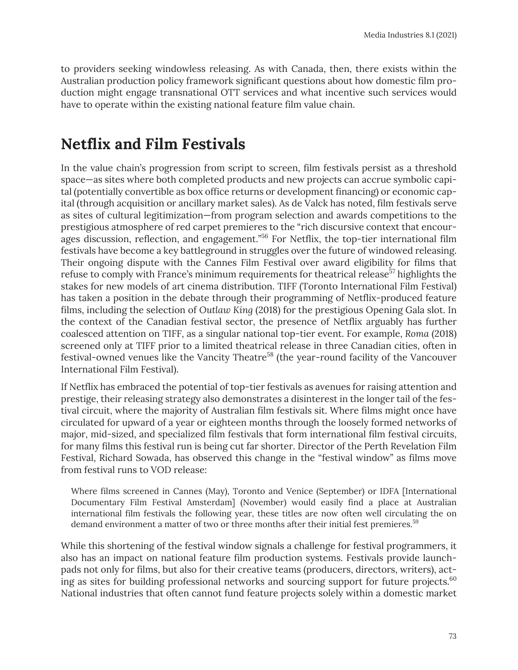to providers seeking windowless releasing. As with Canada, then, there exists within the Australian production policy framework significant questions about how domestic film production might engage transnational OTT services and what incentive such services would have to operate within the existing national feature film value chain.

#### **Netflix and Film Festivals**

In the value chain's progression from script to screen, film festivals persist as a threshold space—as sites where both completed products and new projects can accrue symbolic capital (potentially convertible as box office returns or development financing) or economic capital (through acquisition or ancillary market sales). As de Valck has noted, film festivals serve as sites of cultural legitimization—from program selection and awards competitions to the prestigious atmosphere of red carpet premieres to the "rich discursive context that encourages discussion, reflection, and engagement.<sup>"56</sup> For Netflix, the top-tier international film festivals have become a key battleground in struggles over the future of windowed releasing. Their ongoing dispute with the Cannes Film Festival over award eligibility for films that refuse to comply with France's minimum requirements for theatrical release<sup>57</sup> highlights the stakes for new models of art cinema distribution. TIFF (Toronto International Film Festival) has taken a position in the debate through their programming of Netflix-produced feature films, including the selection of *Outlaw King* (2018) for the prestigious Opening Gala slot. In the context of the Canadian festival sector, the presence of Netflix arguably has further coalesced attention on TIFF, as a singular national top-tier event. For example, *Roma* (2018) screened only at TIFF prior to a limited theatrical release in three Canadian cities, often in festival-owned venues like the Vancity Theatre<sup>58</sup> (the year-round facility of the Vancouver International Film Festival).

If Netflix has embraced the potential of top-tier festivals as avenues for raising attention and prestige, their releasing strategy also demonstrates a disinterest in the longer tail of the festival circuit, where the majority of Australian film festivals sit. Where films might once have circulated for upward of a year or eighteen months through the loosely formed networks of major, mid-sized, and specialized film festivals that form international film festival circuits, for many films this festival run is being cut far shorter. Director of the Perth Revelation Film Festival, Richard Sowada, has observed this change in the "festival window" as films move from festival runs to VOD release:

Where films screened in Cannes (May), Toronto and Venice (September) or IDFA [International Documentary Film Festival Amsterdam] (November) would easily find a place at Australian international film festivals the following year, these titles are now often well circulating the on demand environment a matter of two or three months after their initial fest premieres.<sup>59</sup>

While this shortening of the festival window signals a challenge for festival programmers, it also has an impact on national feature film production systems. Festivals provide launchpads not only for films, but also for their creative teams (producers, directors, writers), acting as sites for building professional networks and sourcing support for future projects.<sup>60</sup> National industries that often cannot fund feature projects solely within a domestic market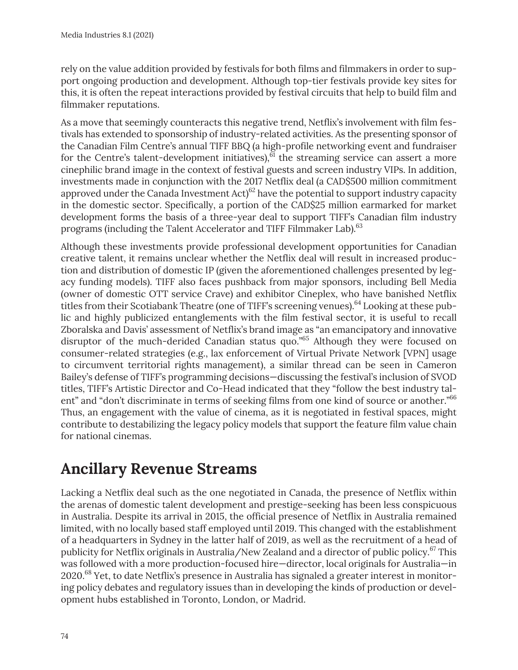rely on the value addition provided by festivals for both films and filmmakers in order to support ongoing production and development. Although top-tier festivals provide key sites for this, it is often the repeat interactions provided by festival circuits that help to build film and filmmaker reputations.

As a move that seemingly counteracts this negative trend, Netflix's involvement with film festivals has extended to sponsorship of industry-related activities. As the presenting sponsor of the Canadian Film Centre's annual TIFF BBQ (a high-profile networking event and fundraiser for the Centre's talent-development initiatives), $\frac{\delta}{\delta}$  the streaming service can assert a more cinephilic brand image in the context of festival guests and screen industry VIPs. In addition, investments made in conjunction with the 2017 Netflix deal (a CAD\$500 million commitment approved under the Canada Investment  $Act)^{62}$  have the potential to support industry capacity in the domestic sector. Specifically, a portion of the CAD\$25 million earmarked for market development forms the basis of a three-year deal to support TIFF's Canadian film industry programs (including the Talent Accelerator and TIFF Filmmaker Lab).<sup>63</sup>

Although these investments provide professional development opportunities for Canadian creative talent, it remains unclear whether the Netflix deal will result in increased production and distribution of domestic IP (given the aforementioned challenges presented by legacy funding models). TIFF also faces pushback from major sponsors, including Bell Media (owner of domestic OTT service Crave) and exhibitor Cineplex, who have banished Netflix titles from their Scotiabank Theatre (one of TIFF's screening venues).<sup>64</sup> Looking at these public and highly publicized entanglements with the film festival sector, it is useful to recall Zboralska and Davis' assessment of Netflix's brand image as "an emancipatory and innovative disruptor of the much-derided Canadian status quo."<sup>65</sup> Although they were focused on consumer-related strategies (e.g., lax enforcement of Virtual Private Network [VPN] usage to circumvent territorial rights management), a similar thread can be seen in Cameron Bailey's defense of TIFF's programming decisions—discussing the festival's inclusion of SVOD titles, TIFF's Artistic Director and Co-Head indicated that they "follow the best industry talent" and "don't discriminate in terms of seeking films from one kind of source or another."<sup>66</sup> Thus, an engagement with the value of cinema, as it is negotiated in festival spaces, might contribute to destabilizing the legacy policy models that support the feature film value chain for national cinemas.

### **Ancillary Revenue Streams**

Lacking a Netflix deal such as the one negotiated in Canada, the presence of Netflix within the arenas of domestic talent development and prestige-seeking has been less conspicuous in Australia. Despite its arrival in 2015, the official presence of Netflix in Australia remained limited, with no locally based staff employed until 2019. This changed with the establishment of a headquarters in Sydney in the latter half of 2019, as well as the recruitment of a head of publicity for Netflix originals in Australia/New Zealand and a director of public policy.<sup>67</sup> This was followed with a more production-focused hire—director, local originals for Australia—in 2020.68 Yet, to date Netflix's presence in Australia has signaled a greater interest in monitoring policy debates and regulatory issues than in developing the kinds of production or development hubs established in Toronto, London, or Madrid.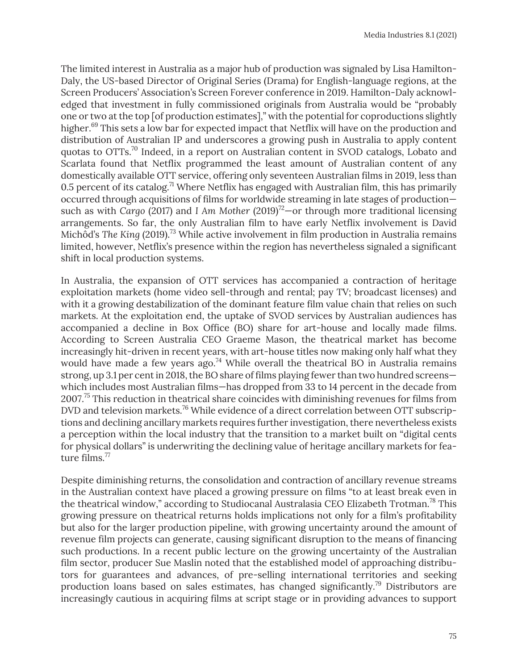The limited interest in Australia as a major hub of production was signaled by Lisa Hamilton-Daly, the US-based Director of Original Series (Drama) for English-language regions, at the Screen Producers' Association's Screen Forever conference in 2019. Hamilton-Daly acknowledged that investment in fully commissioned originals from Australia would be "probably one or two at the top [of production estimates]," with the potential for coproductions slightly higher.<sup>69</sup> This sets a low bar for expected impact that Netflix will have on the production and distribution of Australian IP and underscores a growing push in Australia to apply content quotas to OTTs.70 Indeed, in a report on Australian content in SVOD catalogs, Lobato and Scarlata found that Netflix programmed the least amount of Australian content of any domestically available OTT service, offering only seventeen Australian films in 2019, less than 0.5 percent of its catalog.<sup>71</sup> Where Netflix has engaged with Australian film, this has primarily occurred through acquisitions of films for worldwide streaming in late stages of production such as with *Cargo* (2017) and *I Am Mother* (2019)<sup>72</sup>—or through more traditional licensing arrangements. So far, the only Australian film to have early Netflix involvement is David Michôd's *The King (2019).*<sup>73</sup> While active involvement in film production in Australia remains limited, however, Netflix's presence within the region has nevertheless signaled a significant shift in local production systems.

In Australia, the expansion of OTT services has accompanied a contraction of heritage exploitation markets (home video sell-through and rental; pay TV; broadcast licenses) and with it a growing destabilization of the dominant feature film value chain that relies on such markets. At the exploitation end, the uptake of SVOD services by Australian audiences has accompanied a decline in Box Office (BO) share for art-house and locally made films. According to Screen Australia CEO Graeme Mason, the theatrical market has become increasingly hit-driven in recent years, with art-house titles now making only half what they would have made a few years ago.<sup>74</sup> While overall the theatrical BO in Australia remains strong, up 3.1 per cent in 2018, the BO share of films playing fewer than two hundred screens which includes most Australian films—has dropped from 33 to 14 percent in the decade from 2007.<sup>75</sup> This reduction in theatrical share coincides with diminishing revenues for films from DVD and television markets.<sup>76</sup> While evidence of a direct correlation between OTT subscriptions and declining ancillary markets requires further investigation, there nevertheless exists a perception within the local industry that the transition to a market built on "digital cents for physical dollars" is underwriting the declining value of heritage ancillary markets for feature films. $77$ 

Despite diminishing returns, the consolidation and contraction of ancillary revenue streams in the Australian context have placed a growing pressure on films "to at least break even in the theatrical window," according to Studiocanal Australasia CEO Elizabeth Trotman.<sup>78</sup> This growing pressure on theatrical returns holds implications not only for a film's profitability but also for the larger production pipeline, with growing uncertainty around the amount of revenue film projects can generate, causing significant disruption to the means of financing such productions. In a recent public lecture on the growing uncertainty of the Australian film sector, producer Sue Maslin noted that the established model of approaching distributors for guarantees and advances, of pre-selling international territories and seeking production loans based on sales estimates, has changed significantly.79 Distributors are increasingly cautious in acquiring films at script stage or in providing advances to support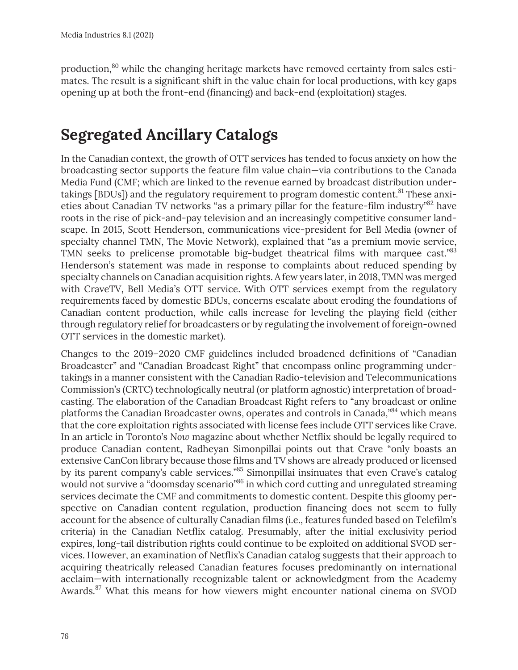production,<sup>80</sup> while the changing heritage markets have removed certainty from sales estimates. The result is a significant shift in the value chain for local productions, with key gaps opening up at both the front-end (financing) and back-end (exploitation) stages.

## **Segregated Ancillary Catalogs**

In the Canadian context, the growth of OTT services has tended to focus anxiety on how the broadcasting sector supports the feature film value chain—via contributions to the Canada Media Fund (CMF; which are linked to the revenue earned by broadcast distribution undertakings [BDUs]) and the regulatory requirement to program domestic content.<sup>81</sup> These anxieties about Canadian TV networks "as a primary pillar for the feature-film industry"<sup>82</sup> have roots in the rise of pick-and-pay television and an increasingly competitive consumer landscape. In 2015, Scott Henderson, communications vice-president for Bell Media (owner of specialty channel TMN, The Movie Network), explained that "as a premium movie service, TMN seeks to prelicense promotable big-budget theatrical films with marquee cast."<sup>83</sup> Henderson's statement was made in response to complaints about reduced spending by specialty channels on Canadian acquisition rights. A few years later, in 2018, TMN was merged with CraveTV, Bell Media's OTT service. With OTT services exempt from the regulatory requirements faced by domestic BDUs, concerns escalate about eroding the foundations of Canadian content production, while calls increase for leveling the playing field (either through regulatory relief for broadcasters or by regulating the involvement of foreign-owned OTT services in the domestic market).

Changes to the 2019–2020 CMF guidelines included broadened definitions of "Canadian Broadcaster" and "Canadian Broadcast Right" that encompass online programming undertakings in a manner consistent with the Canadian Radio-television and Telecommunications Commission's (CRTC) technologically neutral (or platform agnostic) interpretation of broadcasting. The elaboration of the Canadian Broadcast Right refers to "any broadcast or online platforms the Canadian Broadcaster owns, operates and controls in Canada,"84 which means that the core exploitation rights associated with license fees include OTT services like Crave. In an article in Toronto's *Now* magazine about whether Netflix should be legally required to produce Canadian content, Radheyan Simonpillai points out that Crave "only boasts an extensive CanCon library because those films and TV shows are already produced or licensed by its parent company's cable services."85 Simonpillai insinuates that even Crave's catalog would not survive a "doomsday scenario"<sup>86</sup> in which cord cutting and unregulated streaming services decimate the CMF and commitments to domestic content. Despite this gloomy perspective on Canadian content regulation, production financing does not seem to fully account for the absence of culturally Canadian films (i.e., features funded based on Telefilm's criteria) in the Canadian Netflix catalog. Presumably, after the initial exclusivity period expires, long-tail distribution rights could continue to be exploited on additional SVOD services. However, an examination of Netflix's Canadian catalog suggests that their approach to acquiring theatrically released Canadian features focuses predominantly on international acclaim—with internationally recognizable talent or acknowledgment from the Academy Awards.<sup>87</sup> What this means for how viewers might encounter national cinema on SVOD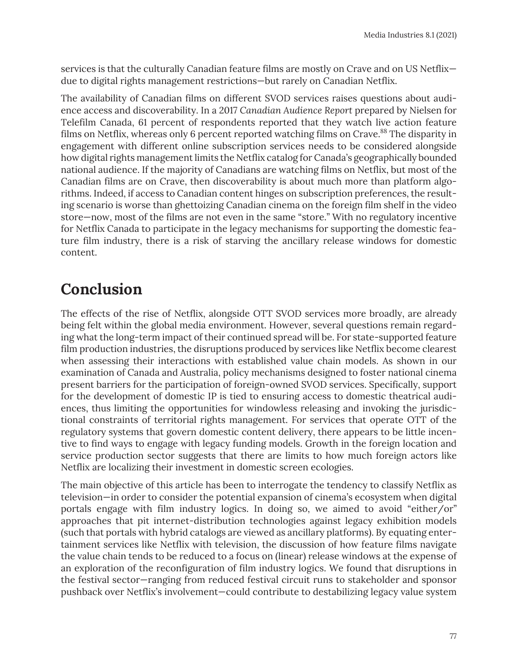services is that the culturally Canadian feature films are mostly on Crave and on US Netflix due to digital rights management restrictions—but rarely on Canadian Netflix.

The availability of Canadian films on different SVOD services raises questions about audience access and discoverability. In a 2017 *Canadian Audience Report* prepared by Nielsen for Telefilm Canada, 61 percent of respondents reported that they watch live action feature films on Netflix, whereas only 6 percent reported watching films on Crave.<sup>88</sup> The disparity in engagement with different online subscription services needs to be considered alongside how digital rights management limits the Netflix catalog for Canada's geographically bounded national audience. If the majority of Canadians are watching films on Netflix, but most of the Canadian films are on Crave, then discoverability is about much more than platform algorithms. Indeed, if access to Canadian content hinges on subscription preferences, the resulting scenario is worse than ghettoizing Canadian cinema on the foreign film shelf in the video store—now, most of the films are not even in the same "store." With no regulatory incentive for Netflix Canada to participate in the legacy mechanisms for supporting the domestic feature film industry, there is a risk of starving the ancillary release windows for domestic content.

## **Conclusion**

The effects of the rise of Netflix, alongside OTT SVOD services more broadly, are already being felt within the global media environment. However, several questions remain regarding what the long-term impact of their continued spread will be. For state-supported feature film production industries, the disruptions produced by services like Netflix become clearest when assessing their interactions with established value chain models. As shown in our examination of Canada and Australia, policy mechanisms designed to foster national cinema present barriers for the participation of foreign-owned SVOD services. Specifically, support for the development of domestic IP is tied to ensuring access to domestic theatrical audiences, thus limiting the opportunities for windowless releasing and invoking the jurisdictional constraints of territorial rights management. For services that operate OTT of the regulatory systems that govern domestic content delivery, there appears to be little incentive to find ways to engage with legacy funding models. Growth in the foreign location and service production sector suggests that there are limits to how much foreign actors like Netflix are localizing their investment in domestic screen ecologies.

The main objective of this article has been to interrogate the tendency to classify Netflix as television—in order to consider the potential expansion of cinema's ecosystem when digital portals engage with film industry logics. In doing so, we aimed to avoid "either/or" approaches that pit internet-distribution technologies against legacy exhibition models (such that portals with hybrid catalogs are viewed as ancillary platforms). By equating entertainment services like Netflix with television, the discussion of how feature films navigate the value chain tends to be reduced to a focus on (linear) release windows at the expense of an exploration of the reconfiguration of film industry logics. We found that disruptions in the festival sector—ranging from reduced festival circuit runs to stakeholder and sponsor pushback over Netflix's involvement—could contribute to destabilizing legacy value system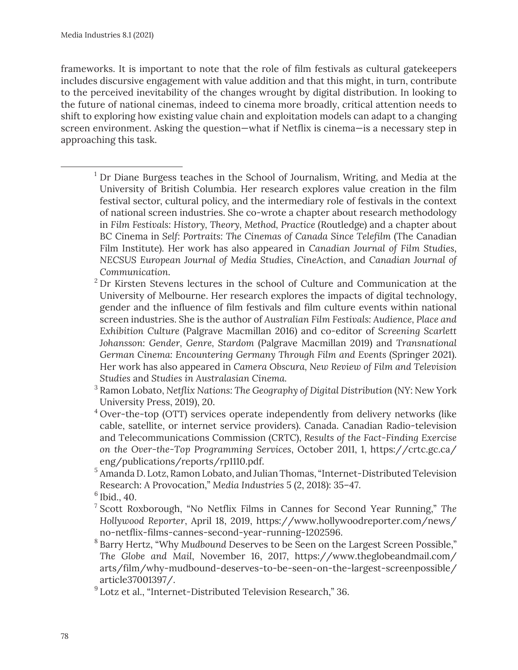frameworks. It is important to note that the role of film festivals as cultural gatekeepers includes discursive engagement with value addition and that this might, in turn, contribute to the perceived inevitability of the changes wrought by digital distribution. In looking to the future of national cinemas, indeed to cinema more broadly, critical attention needs to shift to exploring how existing value chain and exploitation models can adapt to a changing screen environment. Asking the question—what if Netflix is cinema—is a necessary step in approaching this task.

- $1$  Dr Diane Burgess teaches in the School of Journalism, Writing, and Media at the University of British Columbia. Her research explores value creation in the film festival sector, cultural policy, and the intermediary role of festivals in the context of national screen industries. She co-wrote a chapter about research methodology in *Film Festivals: History, Theory, Method, Practice* (Routledge) and a chapter about BC Cinema in *Self: Portraits: The Cinemas of Canada Since Telefilm* (The Canadian Film Institute). Her work has also appeared in *Canadian Journal of Film Studies*, *NECSUS European Journal of Media Studies*, *CineAction*, and *Canadian Journal of Communication*.
- <sup>2</sup> Dr Kirsten Stevens lectures in the school of Culture and Communication at the University of Melbourne. Her research explores the impacts of digital technology, gender and the influence of film festivals and film culture events within national screen industries. She is the author of *Australian Film Festivals: Audience, Place and Exhibition Culture* (Palgrave Macmillan 2016) and co-editor of *Screening Scarlett Johansson: Gender, Genre, Stardom* (Palgrave Macmillan 2019) and *Transnational German Cinema: Encountering Germany Through Film and Events* (Springer 2021). Her work has also appeared in *Camera Obscura, New Review of Film and Television Studies* and *Studies in Australasian Cinema.*
- <sup>3</sup> Ramon Lobato, *Netflix Nations: The Geography of Digital Distribution* (NY: New York University Press, 2019), 20.
- <sup>4</sup> Over-the-top (OTT) services operate independently from delivery networks (like cable, satellite, or internet service providers). Canada. Canadian Radio-television and Telecommunications Commission (CRTC), *Results of the Fact-Finding Exercise on the Over-the-Top Programming Services*, October 2011, 1, https://crtc.gc.ca/ eng/publications/reports/rp1110.pdf.
- <sup>5</sup> Amanda D. Lotz, Ramon Lobato, and Julian Thomas, "Internet-Distributed Television Research: A Provocation," *Media Industries* 5 (2, 2018): 35–47.

- <sup>7</sup> Scott Roxborough, "No Netflix Films in Cannes for Second Year Running," *The Hollywood Reporter*, April 18, 2019, https://www.hollywoodreporter.com/news/ no-netflix-films-cannes-second-year-running-1202596.
- <sup>8</sup> Barry Hertz, "Why *Mudbound* Deserves to be Seen on the Largest Screen Possible," *The Globe and Mail*, November 16, 2017, https://www.theglobeandmail.com/ arts/film/why-mudbound-deserves-to-be-seen-on-the-largest-screenpossible/ article37001397/.
- <sup>9</sup> Lotz et al., "Internet-Distributed Television Research," 36.

 $6$  Ibid., 40.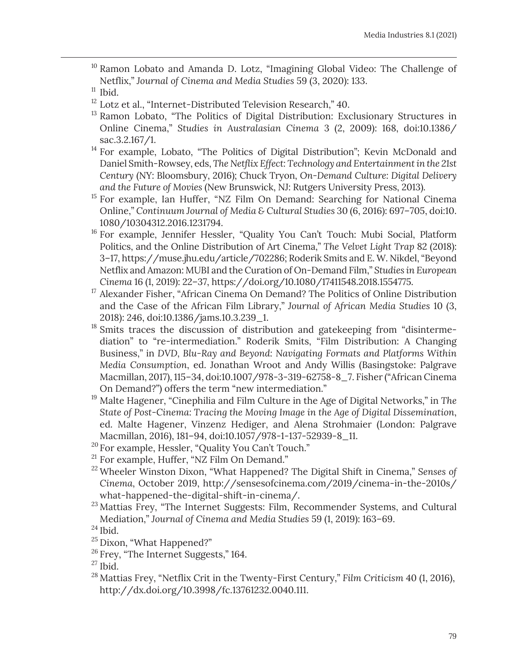<sup>10</sup> Ramon Lobato and Amanda D. Lotz, "Imagining Global Video: The Challenge of Netflix," *Journal of Cinema and Media Studies* 59 (3, 2020): 133.

- $12$  Lotz et al., "Internet-Distributed Television Research," 40.
- <sup>13</sup> Ramon Lobato, "The Politics of Digital Distribution: Exclusionary Structures in Online Cinema," *Studies in Australasian Cinema* 3 (2, 2009): 168, doi:10.1386/ sac.3.2.167/1.
- <sup>14</sup> For example, Lobato, "The Politics of Digital Distribution"; Kevin McDonald and Daniel Smith-Rowsey, eds, *The Netflix Effect: Technology and Entertainment in the 21st Century* (NY: Bloomsbury, 2016); Chuck Tryon, *On-Demand Culture: Digital Delivery and the Future of Movies* (New Brunswick, NJ: Rutgers University Press, 2013).
- <sup>15</sup> For example, Ian Huffer, "NZ Film On Demand: Searching for National Cinema Online," *Continuum Journal of Media & Cultural Studies* 30 (6, 2016): 697–705, doi:10. 1080/10304312.2016.1231794.
- <sup>16</sup> For example, Jennifer Hessler, "Quality You Can't Touch: Mubi Social, Platform Politics, and the Online Distribution of Art Cinema," *The Velvet Light Trap* 82 (2018): 3–17, https://muse.jhu.edu/article/702286; Roderik Smits and E. W. Nikdel, "Beyond Netflix and Amazon: MUBI and the Curation of On-Demand Film," *Studies in European Cinema* 16 (1, 2019): 22–37, https://doi.org/10.1080/17411548.2018.1554775.
- <sup>17</sup> Alexander Fisher, "African Cinema On Demand? The Politics of Online Distribution and the Case of the African Film Library," *Journal of African Media Studies* 10 (3, 2018): 246, doi:10.1386/jams.10.3.239\_1.
- <sup>18</sup> Smits traces the discussion of distribution and gatekeeping from "disintermediation" to "re-intermediation." Roderik Smits, "Film Distribution: A Changing Business," in *DVD, Blu-Ray and Beyond: Navigating Formats and Platforms Within Media Consumption*, ed. Jonathan Wroot and Andy Willis (Basingstoke: Palgrave Macmillan, 2017), 115–34, doi:10.1007/978-3-319-62758-8\_7. Fisher ("African Cinema On Demand?") offers the term "new intermediation."
- <sup>19</sup> Malte Hagener, "Cinephilia and Film Culture in the Age of Digital Networks," in *The State of Post-Cinema: Tracing the Moving Image in the Age of Digital Dissemination*, ed. Malte Hagener, Vinzenz Hediger, and Alena Strohmaier (London: Palgrave Macmillan, 2016), 181–94, doi:10.1057/978-1-137-52939-8\_11.
- <sup>20</sup> For example, Hessler, "Quality You Can't Touch."
- <sup>21</sup> For example, Huffer, "NZ Film On Demand."
- <sup>22</sup> Wheeler Winston Dixon, "What Happened? The Digital Shift in Cinema," *Senses of Cinema*, October 2019, http://sensesofcinema.com/2019/cinema-in-the-2010s/ what-happened-the-digital-shift-in-cinema/.
- $23$  Mattias Frey, "The Internet Suggests: Film, Recommender Systems, and Cultural Mediation," *Journal of Cinema and Media Studies* 59 (1, 2019): 163–69.

- <sup>25</sup> Dixon, "What Happened?"
- $26$  Frey, "The Internet Suggests," 164.

<sup>28</sup> Mattias Frey, "Netflix Crit in the Twenty-First Century," *Film Criticism* 40 (1, 2016), http://dx.doi.org/10.3998/fc.13761232.0040.111.

 $11$  Ibid.

 $24$  Ibid.

 $^{27}$  Ibid.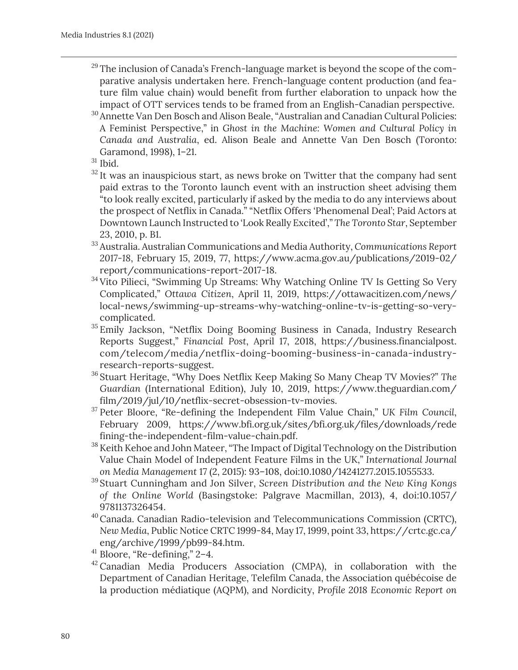- $29$  The inclusion of Canada's French-language market is beyond the scope of the comparative analysis undertaken here. French-language content production (and feature film value chain) would benefit from further elaboration to unpack how the impact of OTT services tends to be framed from an English-Canadian perspective.
- <sup>30</sup> Annette Van Den Bosch and Alison Beale, "Australian and Canadian Cultural Policies: A Feminist Perspective," in *Ghost in the Machine: Women and Cultural Policy in Canada and Australia*, ed. Alison Beale and Annette Van Den Bosch (Toronto: Garamond, 1998), 1–21.
- $31$  Ibid.
- $32$  It was an inauspicious start, as news broke on Twitter that the company had sent paid extras to the Toronto launch event with an instruction sheet advising them "to look really excited, particularly if asked by the media to do any interviews about the prospect of Netflix in Canada." "Netflix Offers 'Phenomenal Deal'; Paid Actors at Downtown Launch Instructed to 'Look Really Excited'," *The Toronto Star*, September 23, 2010, p. B1.
- <sup>33</sup> Australia. Australian Communications and Media Authority, *Communications Report 2017-18*, February 15, 2019, 77, https://www.acma.gov.au/publications/2019-02/ report/communications-report-2017-18.
- <sup>34</sup> Vito Pilieci, "Swimming Up Streams: Why Watching Online TV Is Getting So Very Complicated," *Ottawa Citizen*, April 11, 2019, https://ottawacitizen.com/news/ local-news/swimming-up-streams-why-watching-online-tv-is-getting-so-verycomplicated.
- <sup>35</sup> Emily Jackson, "Netflix Doing Booming Business in Canada, Industry Research Reports Suggest," *Financial Post*, April 17, 2018, https://business.financialpost. com/telecom/media/netflix-doing-booming-business-in-canada-industryresearch-reports-suggest.
- <sup>36</sup> Stuart Heritage, "Why Does Netflix Keep Making So Many Cheap TV Movies?" *The Guardian* (International Edition), July 10, 2019, https://www.theguardian.com/ film/2019/jul/10/netflix-secret-obsession-tv-movies.
- <sup>37</sup> Peter Bloore, "Re-defining the Independent Film Value Chain," *UK Film Council*, February 2009, https://www.bfi.org.uk/sites/bfi.org.uk/files/downloads/rede fining-the-independent-film-value-chain.pdf.
- <sup>38</sup> Keith Kehoe and John Mateer, "The Impact of Digital Technology on the Distribution Value Chain Model of Independent Feature Films in the UK," *International Journal on Media Management* 17 (2, 2015): 93–108, doi:10.1080/14241277.2015.1055533.
- <sup>39</sup> Stuart Cunningham and Jon Silver, *Screen Distribution and the New King Kongs of the Online World* (Basingstoke: Palgrave Macmillan, 2013), 4, doi:10.1057/ 9781137326454.
- 40Canada. Canadian Radio-television and Telecommunications Commission (CRTC), *New Media*, Public Notice CRTC 1999-84, May 17, 1999, point 33, https://crtc.gc.ca/ eng/archive/1999/pb99-84.htm.
- $41$  Bloore, "Re-defining," 2–4.
- $42$  Canadian Media Producers Association (CMPA), in collaboration with the Department of Canadian Heritage, Telefilm Canada, the Association québécoise de la production médiatique (AQPM), and Nordicity, *Profile 2018 Economic Report on*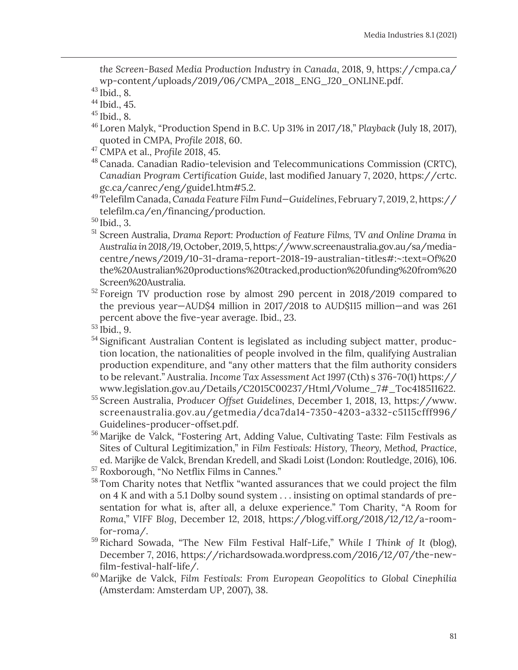*the Screen-Based Media Production Industry in Canada*, 2018, 9, https://cmpa.ca/ wp-content/uploads/2019/06/CMPA\_2018\_ENG\_J20\_ONLINE.pdf.

 $43$  Ibid., 8.

<sup>44</sup> Ibid., 45.

 $45$  Ibid., 8.

- <sup>46</sup> Loren Malyk, "Production Spend in B.C. Up 31% in 2017/18," *Playback* (July 18, 2017), quoted in CMPA, *Profile 2018*, 60.
- <sup>47</sup> CMPA et al., *Profile 2018*, 45.
- <sup>48</sup> Canada. Canadian Radio-television and Telecommunications Commission (CRTC), *Canadian Program Certification Guide*, last modified January 7, 2020, https://crtc. gc.ca/canrec/eng/guide1.htm#5.2.
- <sup>49</sup> Telefilm Canada, *Canada Feature Film Fund—Guidelines*, February 7, 2019, 2, https:// telefilm.ca/en/financing/production.
- <sup>50</sup> Ibid., 3.
- <sup>51</sup> Screen Australia, *Drama Report: Production of Feature Films, TV and Online Drama in Australia in 2018/19,* October, 2019, 5, https://www.screenaustralia.gov.au/sa/mediacentre/news/2019/10-31-drama-report-2018-19-australian-titles#:~:text=Of%20 the%20Australian%20productions%20tracked,production%20funding%20from%20 Screen%20Australia.
- <sup>52</sup> Foreign TV production rose by almost 290 percent in 2018/2019 compared to the previous year—AUD\$4 million in 2017/2018 to AUD\$115 million—and was 261 percent above the five-year average. Ibid., 23.
- $53$  Ibid., 9.
- <sup>54</sup> Significant Australian Content is legislated as including subject matter, production location, the nationalities of people involved in the film, qualifying Australian production expenditure, and "any other matters that the film authority considers to be relevant." Australia. *Income Tax Assessment Act 1997* (Cth) s 376-70(1) https:// www.legislation.gov.au/Details/C2015C00237/Html/Volume\_7#\_Toc418511622.
- <sup>55</sup> Screen Australia, *Producer Offset Guidelines*, December 1, 2018, 13, https://www. screenaustralia.gov.au/getmedia/dca7da14-7350-4203-a332-c5115cfff996/ Guidelines-producer-offset.pdf.
- <sup>56</sup> Marijke de Valck, "Fostering Art, Adding Value, Cultivating Taste: Film Festivals as Sites of Cultural Legitimization," in *Film Festivals: History, Theory, Method, Practice*, ed. Marijke de Valck, Brendan Kredell, and Skadi Loist (London: Routledge, 2016), 106.
- <sup>57</sup> Roxborough, "No Netflix Films in Cannes."
- <sup>58</sup> Tom Charity notes that Netflix "wanted assurances that we could project the film on 4 K and with a 5.1 Dolby sound system . . . insisting on optimal standards of presentation for what is, after all, a deluxe experience." Tom Charity, "A Room for *Roma*," *VIFF Blog*, December 12, 2018, https://blog.viff.org/2018/12/12/a-roomfor-roma/.
- <sup>59</sup> Richard Sowada, "The New Film Festival Half-Life," *While I Think of It* (blog), December 7, 2016, https://richardsowada.wordpress.com/2016/12/07/the-newfilm-festival-half-life/.
- 60Marijke de Valck, *Film Festivals: From European Geopolitics to Global Cinephilia* (Amsterdam: Amsterdam UP, 2007), 38.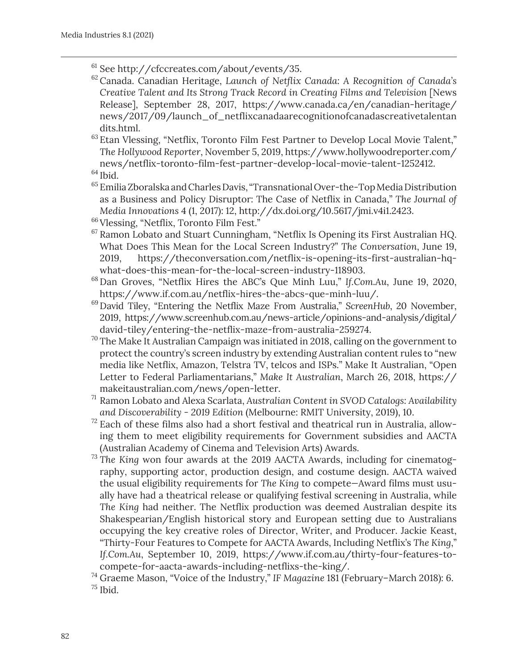- $61$  See http://cfccreates.com/about/events/35.
- <sup>62</sup> Canada. Canadian Heritage, *Launch of Netflix Canada: A Recognition of Canada's Creative Talent and Its Strong Track Record in Creating Films and Television* [News Release], September 28, 2017, https://www.canada.ca/en/canadian-heritage/ news/2017/09/launch\_of\_netflixcanadaarecognitionofcanadascreativetalentan dits.html.

<sup>63</sup> Etan Vlessing, "Netflix, Toronto Film Fest Partner to Develop Local Movie Talent," *The Hollywood Reporter*, November 5, 2019, https://www.hollywoodreporter.com/ news/netflix-toronto-film-fest-partner-develop-local-movie-talent-1252412.

<sup>65</sup> Emilia Zboralska and Charles Davis, "Transnational Over-the-Top Media Distribution as a Business and Policy Disruptor: The Case of Netflix in Canada," *The Journal of Media Innovations* 4 (1, 2017): 12, http://dx.doi.org/10.5617/jmi.v4i1.2423.

- <sup>66</sup> Vlessing, "Netflix, Toronto Film Fest."
- $67$  Ramon Lobato and Stuart Cunningham, "Netflix Is Opening its First Australian HQ. What Does This Mean for the Local Screen Industry?" *The Conversation*, June 19, 2019, https://theconversation.com/netflix-is-opening-its-first-australian-hqwhat-does-this-mean-for-the-local-screen-industry-118903.
- <sup>68</sup> Dan Groves, "Netflix Hires the ABC's Que Minh Luu," *If.Com.Au*, June 19, 2020, https://www.if.com.au/netflix-hires-the-abcs-que-minh-luu/.
- <sup>69</sup> David Tiley, "Entering the Netflix Maze From Australia," *ScreenHub*, 20 November, 2019, https://www.screenhub.com.au/news-article/opinions-and-analysis/digital/ david-tiley/entering-the-netflix-maze-from-australia-259274.
- $70$  The Make It Australian Campaign was initiated in 2018, calling on the government to protect the country's screen industry by extending Australian content rules to "new media like Netflix, Amazon, Telstra TV, telcos and ISPs." Make It Australian, "Open Letter to Federal Parliamentarians," *Make It Australian*, March 26, 2018, https:// makeitaustralian.com/news/open-letter.
- <sup>71</sup> Ramon Lobato and Alexa Scarlata, *Australian Content in SVOD Catalogs: Availability and Discoverability - 2019 Edition* (Melbourne: RMIT University, 2019), 10.
- $72$  Each of these films also had a short festival and theatrical run in Australia, allowing them to meet eligibility requirements for Government subsidies and AACTA (Australian Academy of Cinema and Television Arts) Awards.
- <sup>73</sup> The King won four awards at the 2019 AACTA Awards, including for cinematography, supporting actor, production design, and costume design. AACTA waived the usual eligibility requirements for *The King* to compete*—*Award films must usually have had a theatrical release or qualifying festival screening in Australia, while *The King* had neither. The Netflix production was deemed Australian despite its Shakespearian/English historical story and European setting due to Australians occupying the key creative roles of Director, Writer, and Producer. Jackie Keast, "Thirty-Four Features to Compete for AACTA Awards, Including Netflix's *The King*," *If.Com.Au*, September 10, 2019, https://www.if.com.au/thirty-four-features-tocompete-for-aacta-awards-including-netflixs-the-king/.

<sup>74</sup> Graeme Mason, "Voice of the Industry," *IF Magazine* 181 (February–March 2018): 6.  $75$  Ibid.

 $64$  Ibid.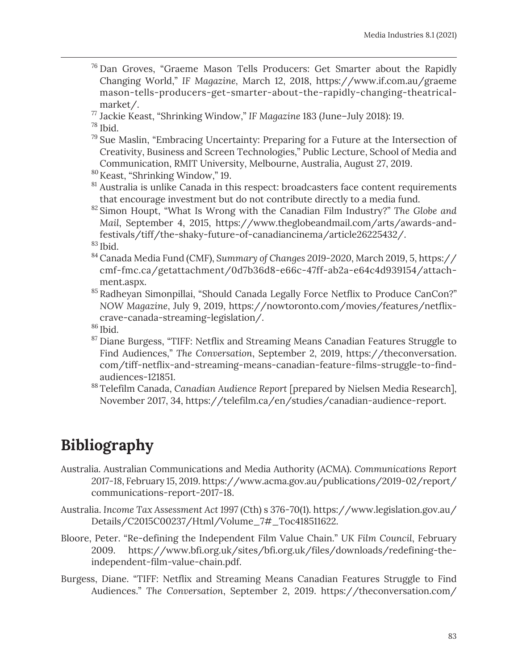- $76$  Dan Groves, "Graeme Mason Tells Producers: Get Smarter about the Rapidly Changing World," *IF Magazine,* March 12, 2018, https://www.if.com.au/graeme mason-tells-producers-get-smarter-about-the-rapidly-changing-theatricalmarket/.
- <sup>77</sup> Jackie Keast, "Shrinking Window," *IF Magazine* 183 (June–July 2018): 19.

 $^{78}$  Ibid.

- $79$  Sue Maslin, "Embracing Uncertainty: Preparing for a Future at the Intersection of Creativity, Business and Screen Technologies," Public Lecture, School of Media and Communication, RMIT University, Melbourne, Australia, August 27, 2019.
- 80Keast, "Shrinking Window," 19.
- $81$  Australia is unlike Canada in this respect: broadcasters face content requirements that encourage investment but do not contribute directly to a media fund.
- <sup>82</sup> Simon Houpt, "What Is Wrong with the Canadian Film Industry?" *The Globe and Mail*, September 4, 2015, https://www.theglobeandmail.com/arts/awards-andfestivals/tiff/the-shaky-future-of-canadiancinema/article26225432/.

 $83$  Ibid.

- <sup>84</sup> Canada Media Fund (CMF), *Summary of Changes 2019-2020*, March 2019, 5, https:// cmf-fmc.ca/getattachment/0d7b36d8-e66c-47ff-ab2a-e64c4d939154/attachment.aspx.
- 85 Radheyan Simonpillai, "Should Canada Legally Force Netflix to Produce CanCon?" *NOW Magazine*, July 9, 2019, https://nowtoronto.com/movies/features/netflixcrave-canada-streaming-legislation/.

 $86$  Ibid.

- <sup>87</sup> Diane Burgess, "TIFF: Netflix and Streaming Means Canadian Features Struggle to Find Audiences," *The Conversation*, September 2, 2019, https://theconversation. com/tiff-netflix-and-streaming-means-canadian-feature-films-struggle-to-findaudiences-121851.
- <sup>88</sup> Telefilm Canada, *Canadian Audience Report* [prepared by Nielsen Media Research], November 2017, 34, https://telefilm.ca/en/studies/canadian-audience-report.

# **Bibliography**

- Australia. Australian Communications and Media Authority (ACMA). *Communications Report 2017-18*, February 15, 2019. https://www.acma.gov.au/publications/2019-02/report/ communications-report-2017-18.
- Australia. *Income Tax Assessment Act 1997* (Cth) s 376-70(1). https://www.legislation.gov.au/ Details/C2015C00237/Html/Volume\_7#\_Toc418511622.
- Bloore, Peter. "Re-defining the Independent Film Value Chain." *UK Film Council*, February 2009. https://www.bfi.org.uk/sites/bfi.org.uk/files/downloads/redefining-theindependent-film-value-chain.pdf.
- Burgess, Diane. "TIFF: Netflix and Streaming Means Canadian Features Struggle to Find Audiences." *The Conversation*, September 2, 2019. https://theconversation.com/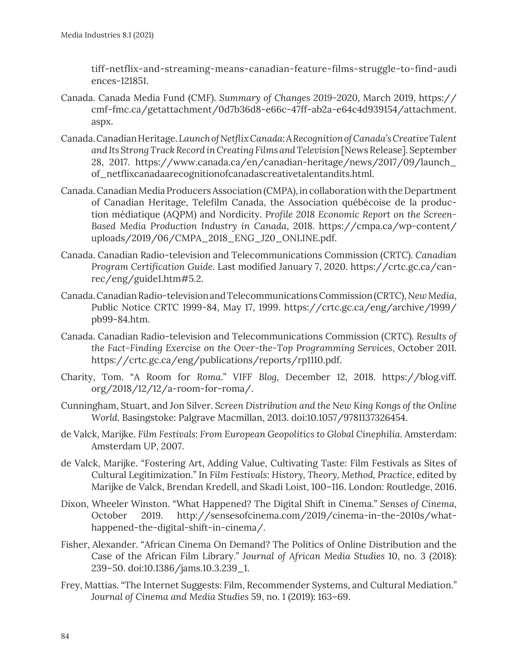tiff-netflix-and-streaming-means-canadian-feature-films-struggle-to-find-audi ences-121851.

- Canada. Canada Media Fund (CMF). *Summary of Changes 2019-2020*, March 2019, https:// cmf-fmc.ca/getattachment/0d7b36d8-e66c-47ff-ab2a-e64c4d939154/attachment. aspx.
- Canada. Canadian Heritage. *Launch of Netflix Canada: A Recognition of Canada's Creative Talent and Its Strong Track Record in Creating Films and Television* [News Release]. September 28, 2017. https://www.canada.ca/en/canadian-heritage/news/2017/09/launch\_ of\_netflixcanadaarecognitionofcanadascreativetalentandits.html.
- Canada. Canadian Media Producers Association (CMPA), in collaboration with the Department of Canadian Heritage, Telefilm Canada, the Association québécoise de la production médiatique (AQPM) and Nordicity. *Profile 2018 Economic Report on the Screen-Based Media Production Industry in Canada*, 2018. https://cmpa.ca/wp-content/ uploads/2019/06/CMPA\_2018\_ENG\_J20\_ONLINE.pdf.
- Canada. Canadian Radio-television and Telecommunications Commission (CRTC). *Canadian Program Certification Guide*. Last modified January 7, 2020. https://crtc.gc.ca/canrec/eng/guide1.htm#5.2.
- Canada. Canadian Radio-television and Telecommunications Commission (CRTC), *New Media*, Public Notice CRTC 1999-84, May 17, 1999. https://crtc.gc.ca/eng/archive/1999/ pb99-84.htm.
- Canada. Canadian Radio-television and Telecommunications Commission (CRTC). *Results of the Fact-Finding Exercise on the Over-the-Top Programming Services*, October 2011. https://crtc.gc.ca/eng/publications/reports/rp1110.pdf.
- Charity, Tom. "A Room for *Roma*." *VIFF Blog*, December 12, 2018. https://blog.viff. org/2018/12/12/a-room-for-roma/.
- Cunningham, Stuart, and Jon Silver. *Screen Distribution and the New King Kongs of the Online World.* Basingstoke: Palgrave Macmillan, 2013. doi:10.1057/9781137326454.
- de Valck, Marijke. *Film Festivals: From European Geopolitics to Global Cinephilia*. Amsterdam: Amsterdam UP, 2007.
- de Valck, Marijke. "Fostering Art, Adding Value, Cultivating Taste: Film Festivals as Sites of Cultural Legitimization." In *Film Festivals: History, Theory, Method, Practice*, edited by Marijke de Valck, Brendan Kredell, and Skadi Loist, 100–116. London: Routledge, 2016.
- Dixon, Wheeler Winston. "What Happened? The Digital Shift in Cinema." *Senses of Cinema*, October 2019. http://sensesofcinema.com/2019/cinema-in-the-2010s/whathappened-the-digital-shift-in-cinema/.
- Fisher, Alexander. "African Cinema On Demand? The Politics of Online Distribution and the Case of the African Film Library." *Journal of African Media Studies* 10, no. 3 (2018): 239–50. doi:10.1386/jams.10.3.239\_1.
- Frey, Mattias. "The Internet Suggests: Film, Recommender Systems, and Cultural Mediation." *Journal of Cinema and Media Studies* 59, no. 1 (2019): 163–69.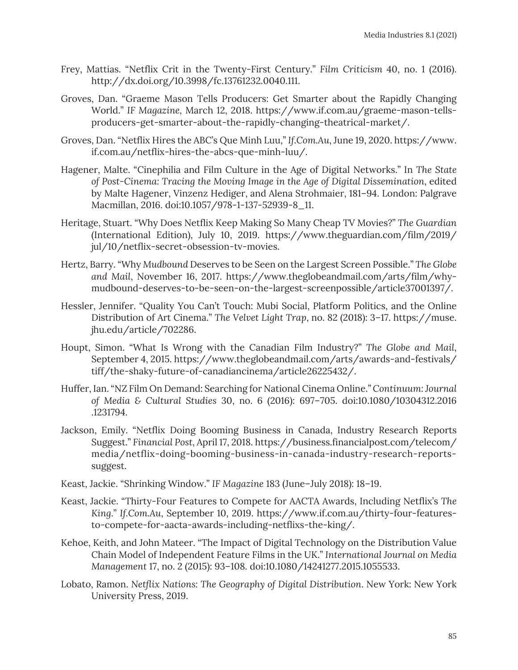- Frey, Mattias. "Netflix Crit in the Twenty-First Century." *Film Criticism* 40, no. 1 (2016). http://dx.doi.org/10.3998/fc.13761232.0040.111.
- Groves, Dan. "Graeme Mason Tells Producers: Get Smarter about the Rapidly Changing World." *IF Magazine,* March 12, 2018. https://www.if.com.au/graeme-mason-tellsproducers-get-smarter-about-the-rapidly-changing-theatrical-market/.
- Groves, Dan. "Netflix Hires the ABC's Que Minh Luu," *If.Com.Au*, June 19, 2020. https://www. if.com.au/netflix-hires-the-abcs-que-minh-luu/.
- Hagener, Malte. "Cinephilia and Film Culture in the Age of Digital Networks." In *The State of Post-Cinema: Tracing the Moving Image in the Age of Digital Dissemination*, edited by Malte Hagener, Vinzenz Hediger, and Alena Strohmaier, 181–94. London: Palgrave Macmillan, 2016. doi:10.1057/978-1-137-52939-8\_11.
- Heritage, Stuart. "Why Does Netflix Keep Making So Many Cheap TV Movies?" *The Guardian* (International Edition), July 10, 2019. https://www.theguardian.com/film/2019/ jul/10/netflix-secret-obsession-tv-movies.
- Hertz, Barry. "Why *Mudbound* Deserves to be Seen on the Largest Screen Possible." *The Globe and Mail*, November 16, 2017. https://www.theglobeandmail.com/arts/film/whymudbound-deserves-to-be-seen-on-the-largest-screenpossible/article37001397/.
- Hessler, Jennifer. "Quality You Can't Touch: Mubi Social, Platform Politics, and the Online Distribution of Art Cinema." *The Velvet Light Trap*, no. 82 (2018): 3–17. https://muse. jhu.edu/article/702286.
- Houpt, Simon. "What Is Wrong with the Canadian Film Industry?" *The Globe and Mail*, September 4, 2015. https://www.theglobeandmail.com/arts/awards-and-festivals/ tiff/the-shaky-future-of-canadiancinema/article26225432/.
- Huffer, Ian. "NZ Film On Demand: Searching for National Cinema Online." *Continuum: Journal of Media & Cultural Studies* 30, no. 6 (2016): 697–705. doi:10.1080/10304312.2016 .1231794.
- Jackson, Emily. "Netflix Doing Booming Business in Canada, Industry Research Reports Suggest." *Financial Post*, April 17, 2018. https://business.financialpost.com/telecom/ media/netflix-doing-booming-business-in-canada-industry-research-reportssuggest.
- Keast, Jackie. "Shrinking Window." *IF Magazine* 183 (June–July 2018): 18–19.
- Keast, Jackie. "Thirty-Four Features to Compete for AACTA Awards, Including Netflix's *The King*." *If.Com.Au*, September 10, 2019. https://www.if.com.au/thirty-four-featuresto-compete-for-aacta-awards-including-netflixs-the-king/.
- Kehoe, Keith, and John Mateer. "The Impact of Digital Technology on the Distribution Value Chain Model of Independent Feature Films in the UK." *International Journal on Media Management* 17, no. 2 (2015): 93–108. doi:10.1080/14241277.2015.1055533.
- Lobato, Ramon. *Netflix Nations: The Geography of Digital Distribution*. New York: New York University Press, 2019.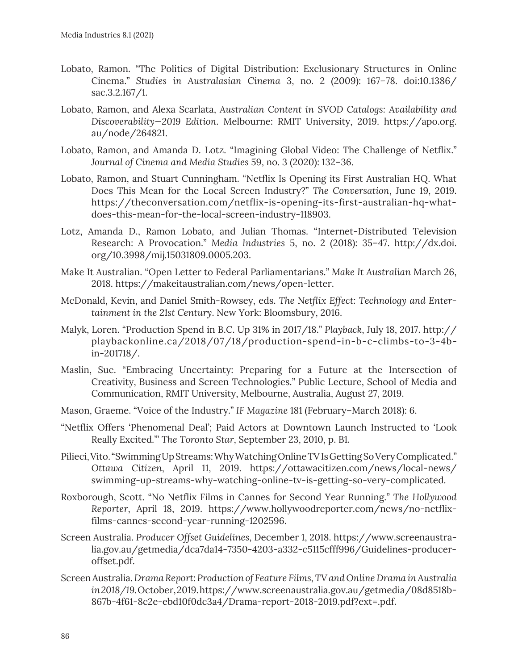- Lobato, Ramon. "The Politics of Digital Distribution: Exclusionary Structures in Online Cinema." *Studies in Australasian Cinema* 3, no. 2 (2009): 167–78. doi:10.1386/ sac.3.2.167/1.
- Lobato, Ramon, and Alexa Scarlata, *Australian Content in SVOD Catalogs: Availability and Discoverability—2019 Edition*. Melbourne: RMIT University, 2019. https://apo.org. au/node/264821.
- Lobato, Ramon, and Amanda D. Lotz. "Imagining Global Video: The Challenge of Netflix." *Journal of Cinema and Media Studies* 59, no. 3 (2020): 132–36.
- Lobato, Ramon, and Stuart Cunningham. "Netflix Is Opening its First Australian HQ. What Does This Mean for the Local Screen Industry?" *The Conversation*, June 19, 2019. https://theconversation.com/netflix-is-opening-its-first-australian-hq-whatdoes-this-mean-for-the-local-screen-industry-118903.
- Lotz, Amanda D., Ramon Lobato, and Julian Thomas. "Internet-Distributed Television Research: A Provocation." *Media Industries* 5, no. 2 (2018): 35–47. http://dx.doi. org/10.3998/mij.15031809.0005.203.
- Make It Australian. "Open Letter to Federal Parliamentarians." *Make It Australian* March 26, 2018. https://makeitaustralian.com/news/open-letter.
- McDonald, Kevin, and Daniel Smith-Rowsey, eds. *The Netflix Effect: Technology and Entertainment in the 21st Century*. New York: Bloomsbury, 2016.
- Malyk, Loren. "Production Spend in B.C. Up 31% in 2017/18." *Playback*, July 18, 2017. http:// playbackonline.ca/2018/07/18/production-spend-in-b-c-climbs-to-3-4bin-201718/.
- Maslin, Sue. "Embracing Uncertainty: Preparing for a Future at the Intersection of Creativity, Business and Screen Technologies." Public Lecture, School of Media and Communication, RMIT University, Melbourne, Australia, August 27, 2019.
- Mason, Graeme. "Voice of the Industry." *IF Magazine* 181 (February–March 2018): 6.
- "Netflix Offers 'Phenomenal Deal'; Paid Actors at Downtown Launch Instructed to 'Look Really Excited.'" *The Toronto Star*, September 23, 2010, p. B1.
- Pilieci, Vito. "Swimming Up Streams: Why Watching Online TV Is Getting So Very Complicated." *Ottawa Citizen*, April 11, 2019. https://ottawacitizen.com/news/local-news/ swimming-up-streams-why-watching-online-tv-is-getting-so-very-complicated.
- Roxborough, Scott. "No Netflix Films in Cannes for Second Year Running." *The Hollywood Reporter*, April 18, 2019. https://www.hollywoodreporter.com/news/no-netflixfilms-cannes-second-year-running-1202596.
- Screen Australia. *Producer Offset Guidelines*, December 1, 2018. https://www.screenaustralia.gov.au/getmedia/dca7da14-7350-4203-a332-c5115cfff996/Guidelines-produceroffset.pdf.
- Screen Australia. *Drama Report: Production of Feature Films, TV and Online Drama in Australia in 2018/19.* October, 2019. https://www.screenaustralia.gov.au/getmedia/08d8518b-867b-4f61-8c2e-ebd10f0dc3a4/Drama-report-2018-2019.pdf?ext=.pdf.